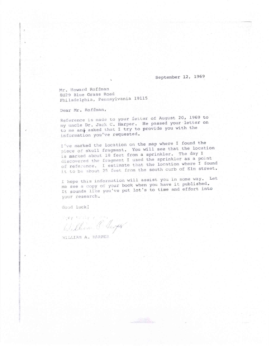September 12, 1969

Mr. Howard Roffman 8829 Slue Grass Road Philadelphia, Pennsylvania 19115

Dear Mr. Roffman,

Reference is made to your letter of August 20, 1969 to my uncle Dr. Jack C. Harper. He passed your letter on to me an4 asked that I try to provide you with the information you've requested.

I've marked the location on the map where I found the piece of skull fragment. You will see that the location is marked about 18 feet from a sprinkler. The day I discovered the fragment I used the sprinkler as a point of reference. I estimate that the location where I found it to be about 25 feet from the south curb of Elm street.

I hope this information will assist you in some way. Let me see a copy of your book when you have it published. It sounds like you've put lot's to time and effort into your research.

Good luck!

Pery turnly y Shey William Charper

WILLIAM A. HARPER